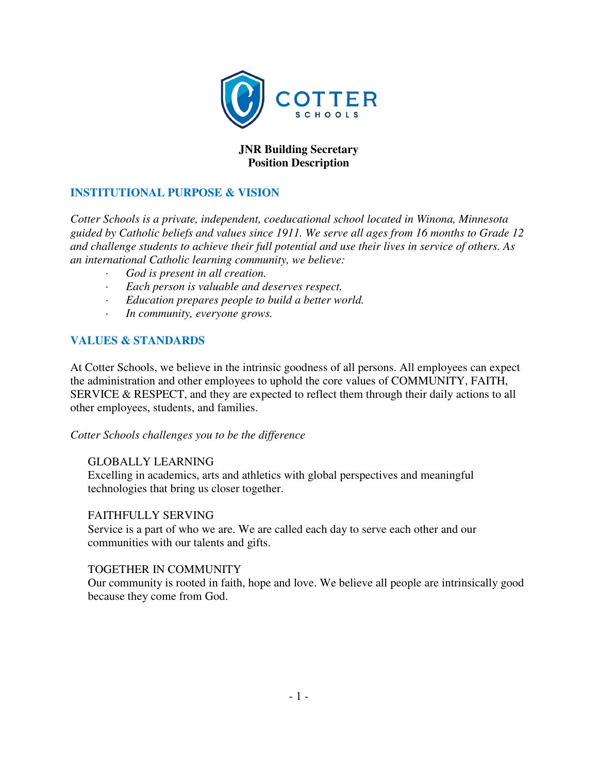

# **JNR Building Secretary Position Description**

## **INSTITUTIONAL PURPOSE & VISION**

*Cotter Schools is a private, independent, coeducational school located in Winona, Minnesota guided by Catholic beliefs and values since 1911. We serve all ages from 16 months to Grade 12 and challenge students to achieve their full potential and use their lives in service of others. As an international Catholic learning community, we believe:* 

- *· God is present in all creation.*
- *· Each person is valuable and deserves respect.*
- *· Education prepares people to build a better world.*
- *· In community, everyone grows.*

## **VALUES & STANDARDS**

At Cotter Schools, we believe in the intrinsic goodness of all persons. All employees can expect the administration and other employees to uphold the core values of COMMUNITY, FAITH, SERVICE & RESPECT, and they are expected to reflect them through their daily actions to all other employees, students, and families.

#### *Cotter Schools challenges you to be the difference*

## GLOBALLY LEARNING

Excelling in academics, arts and athletics with global perspectives and meaningful technologies that bring us closer together.

#### FAITHFULLY SERVING

Service is a part of who we are. We are called each day to serve each other and our communities with our talents and gifts.

#### TOGETHER IN COMMUNITY

Our community is rooted in faith, hope and love. We believe all people are intrinsically good because they come from God.